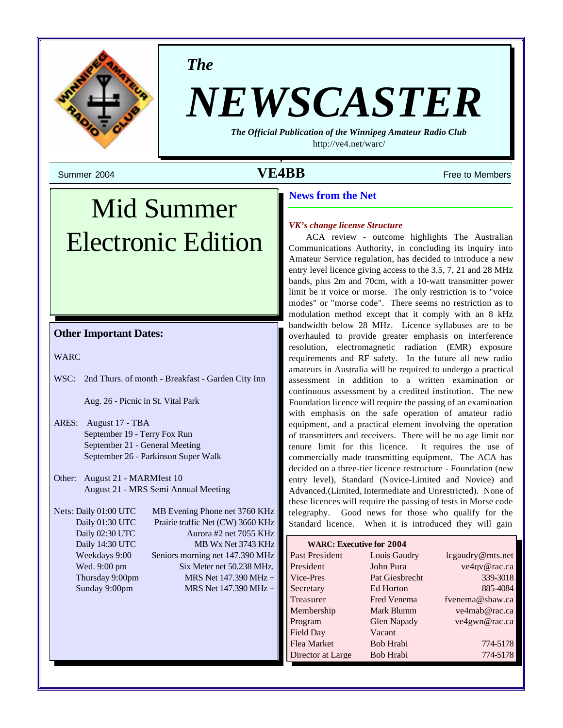

*The*

# *NEWSCASTER*

*The Official Publication of the Winnipeg Amateur Radio Club* <http://ve4.net/warc/>

## Summer 2004 **Summer 2004** Free to Members

## Mid Summer Electronic Edition

#### **Other Important Dates:**

WARC

WSC: 2nd Thurs. of month - Breakfast - Garden City Inn

Aug. 26 - Picnic in St. Vital Park

- ARES: August 17 TBA September 19 - Terry Fox Run September 21 - General Meeting September 26 - Parkinson Super Walk
- Other: August 21 MARMfest 10 August 21 - MRS Semi Annual Meeting

Nets: Daily 01:00 UTC MB Evening Phone net 3760 KHz Daily 01:30 UTC Prairie traffic Net (CW) 3660 KHz Daily 02:30 UTC Aurora #2 net 7055 KHz Daily 14:30 UTC MB Wx Net 3743 KHz Weekdays 9:00 Seniors morning net 147.390 MHz Wed. 9:00 pm Six Meter net 50.238 MHz. Thursday 9:00pm MRS Net  $147.390 \text{ MHz} +$ Sunday 9:00pm MRS Net 147.390 MHz +

#### **News from the Net**

#### *VK's change license Structure*

ACA review - outcome highlights The Australian Communications Authority, in concluding its inquiry into Amateur Service regulation, has decided to introduce a new entry level licence giving access to the 3.5, 7, 21 and 28 MHz bands, plus 2m and 70cm, with a 10-watt transmitter power limit be it voice or morse. The only restriction is to "voice modes" or "morse code". There seems no restriction as to modulation method except that it comply with an 8 kHz bandwidth below 28 MHz. Licence syllabuses are to be overhauled to provide greater emphasis on interference resolution, electromagnetic radiation (EMR) exposure requirements and RF safety. In the future all new radio amateurs in Australia will be required to undergo a practical assessment in addition to a written examination or continuous assessment by a credited institution. The new Foundation licence will require the passing of an examination with emphasis on the safe operation of amateur radio equipment, and a practical element involving the operation of transmitters and receivers. There will be no age limit nor tenure limit for this licence. It requires the use of commercially made transmitting equipment. The ACA has decided on a three-tier licence restructure - Foundation (new entry level), Standard (Novice-Limited and Novice) and Advanced.(Limited, Intermediate and Unrestricted). None of these licences will require the passing of tests in Morse code telegraphy. Good news for those who qualify for the Standard licence. When it is introduced they will gain

| <b>WARC: Executive for 2004</b> |                    |                  |  |  |
|---------------------------------|--------------------|------------------|--|--|
| Past President                  | Louis Gaudry       | lcgaudry@mts.net |  |  |
| President                       | John Pura          | ve4qv@rac.ca     |  |  |
| Vice-Pres                       | Pat Giesbrecht     | 339-3018         |  |  |
| Secretary                       | Ed Horton          | 885-4084         |  |  |
| Treasurer                       | <b>Fred Venema</b> | fvenema@shaw.ca  |  |  |
| Membership                      | Mark Blumm         | ve4mab@rac.ca    |  |  |
| Program                         | Glen Napady        | ve4gwn@rac.ca    |  |  |
| Field Day                       | Vacant             |                  |  |  |
| Flea Market                     | Bob Hrabi          | 774-5178         |  |  |
| Director at Large               | Bob Hrabi          | 774-5178         |  |  |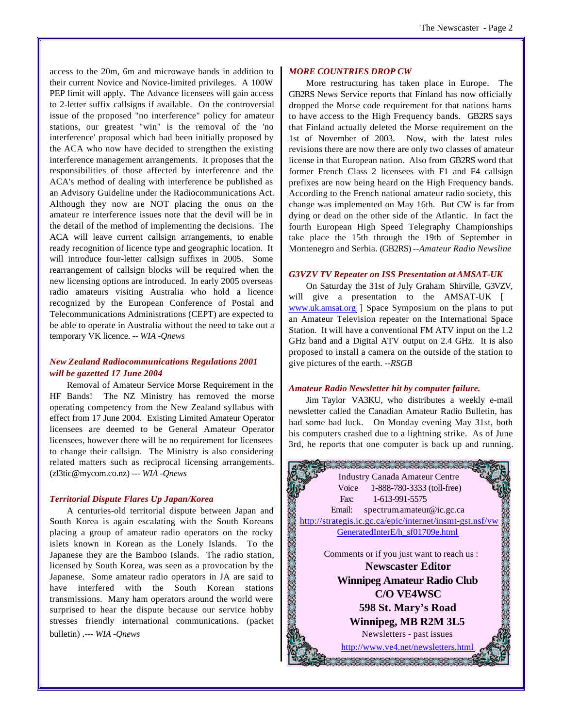access to the 20m, 6m and microwave bands in addition to their current Novice and Novice-limited privileges. A 100W PEP limit will apply. The Advance licensees will gain access to 2-letter suffix callsigns if available. On the controversial issue of the proposed "no interference" policy for amateur stations, our greatest "win" is the removal of the 'no interference' proposal which had been initially proposed by the ACA who now have decided to strengthen the existing interference management arrangements. It proposes that the responsibilities of those affected by interference and the ACA's method of dealing with interference be published as an Advisory Guideline under the Radiocommunications Act. Although they now are NOT placing the onus on the amateur re interference issues note that the devil will be in the detail of the method of implementing the decisions. The ACA will leave current callsign arrangements, to enable ready recognition of licence type and geographic location. It will introduce four-letter callsign suffixes in 2005. Some rearrangement of callsign blocks will be required when the new licensing options are introduced. In early 2005 overseas radio amateurs visiting Australia who hold a licence recognized by the European Conference of Postal and Telecommunications Administrations (CEPT) are expected to be able to operate in Australia without the need to take out a temporary VK licence. *-- WIA -Qnews*

#### *New Zealand Radiocommunications Regulations 2001 will be gazetted 17 June 2004*

Removal of Amateur Service Morse Requirement in the HF Bands! The NZ Ministry has removed the morse operating competency from the New Zealand syllabus with effect from 17 June 2004. Existing Limited Amateur Operator licensees are deemed to be General Amateur Operator licensees, however there will be no requirement for licensees to change their callsign. The Ministry is also considering related matters such as reciprocal licensing arrangements. (zl3tic@mycom.co.nz) -*-- WIA -Qnews*

#### *Territorial Dispute Flares Up Japan/Korea*

A centuries-old territorial dispute between Japan and South Korea is again escalating with the South Koreans placing a group of amateur radio operators on the rocky islets known in Korean as the Lonely Islands. To the Japanese they are the Bamboo Islands. The radio station, licensed by South Korea, was seen as a provocation by the Japanese. Some amateur radio operators in JA are said to have interfered with the South Korean stations transmissions. Many ham operators around the world were surprised to hear the dispute because our service hobby stresses friendly international communications. (packet bulletin) .-*-- WIA -Qnews*

#### *MORE COUNTRIES DROP CW*

More restructuring has taken place in Europe. The GB2RS News Service reports that Finland has now officially dropped the Morse code requirement for that nations hams to have access to the High Frequency bands. GB2RS says that Finland actually deleted the Morse requirement on the 1st of November of 2003. Now, with the latest rules revisions there are now there are only two classes of amateur license in that European nation. Also from GB2RS word that former French Class 2 licensees with F1 and F4 callsign prefixes are now being heard on the High Frequency bands. According to the French national amateur radio society, this change was implemented on May 16th. But CW is far from dying or dead on the other side of the Atlantic. In fact the fourth European High Speed Telegraphy Championships take place the 15th through the 19th of September in Montenegro and Serbia. (GB2RS) *--Amateur Radio Newsline*

#### *G3VZV TV Repeater on ISS Presentation at AMSAT-UK*

On Saturday the 31st of July Graham Shirville, G3VZV, will give a presentation to the AMSAT-UK [ www.uk.amsat.org ] Space Symposium on the plans to put an Amateur Television repeater on the International Space Station. It will have a conventional FM ATV input on the 1.2 GHz band and a Digital ATV output on 2.4 GHz. It is also proposed to install a camera on the outside of the station to give pictures of the earth. *--RSGB*

#### *Amateur Radio Newsletter hit by computer failure.*

Jim Taylor VA3KU, who distributes a weekly e-mail newsletter called the Canadian Amateur Radio Bulletin, has had some bad luck. On Monday evening May 31st, both his computers crashed due to a lightning strike. As of June 3rd, he reports that one computer is back up and running.

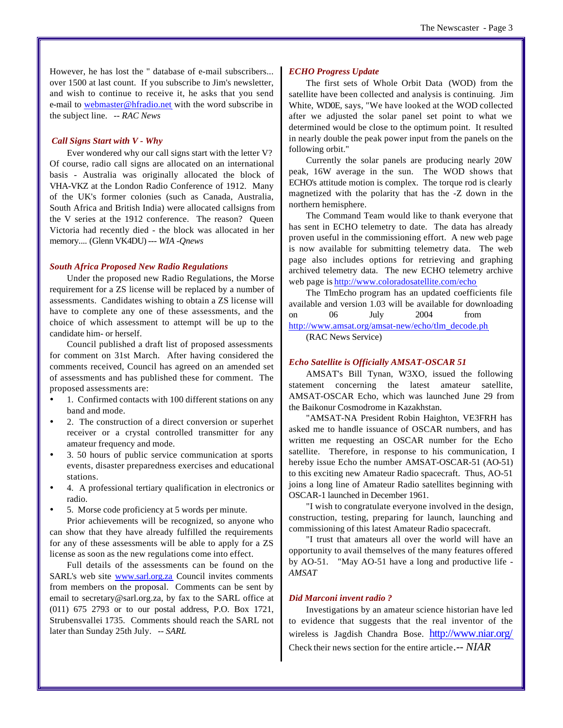However, he has lost the '' database of e-mail subscribers... over 1500 at last count. If you subscribe to Jim's newsletter, and wish to continue to receive it, he asks that you send e-mail to webmaster@hfradio.net with the word subscribe in the subject line. *-- RAC News* 

#### *Call Signs Start with V - Why*

Ever wondered why our call signs start with the letter V? Of course, radio call signs are allocated on an international basis - Australia was originally allocated the block of VHA-VKZ at the London Radio Conference of 1912. Many of the UK's former colonies (such as Canada, Australia, South Africa and British India) were allocated callsigns from the V series at the 1912 conference. The reason? Queen Victoria had recently died - the block was allocated in her memory.... (Glenn VK4DU) -*-- WIA -Qnews*

#### *South Africa Proposed New Radio Regulations*

Under the proposed new Radio Regulations, the Morse requirement for a ZS license will be replaced by a number of assessments. Candidates wishing to obtain a ZS license will have to complete any one of these assessments, and the choice of which assessment to attempt will be up to the candidate him- or herself.

Council published a draft list of proposed assessments for comment on 31st March. After having considered the comments received, Council has agreed on an amended set of assessments and has published these for comment. The proposed assessments are:

- 1. Confirmed contacts with 100 different stations on any band and mode.
- 2. The construction of a direct conversion or superhet receiver or a crystal controlled transmitter for any amateur frequency and mode.
- ü 3. 50 hours of public service communication at sports events, disaster preparedness exercises and educational stations.
- ü 4. A professional tertiary qualification in electronics or radio.
- ü 5. Morse code proficiency at 5 words per minute.

Prior achievements will be recognized, so anyone who can show that they have already fulfilled the requirements for any of these assessments will be able to apply for a ZS license as soon as the new regulations come into effect.

Full details of the assessments can be found on the SARL's web site www.sarl.org.za Council invites comments from members on the proposal. Comments can be sent by email to secretary@sarl.org.za, by fax to the SARL office at (011) 675 2793 or to our postal address, P.O. Box 1721, Strubensvallei 1735. Comments should reach the SARL not later than Sunday 25th July. *-- SARL*

#### *ECHO Progress Update*

The first sets of Whole Orbit Data (WOD) from the satellite have been collected and analysis is continuing. Jim White, WD0E, says, "We have looked at the WOD collected after we adjusted the solar panel set point to what we determined would be close to the optimum point. It resulted in nearly double the peak power input from the panels on the following orbit."

Currently the solar panels are producing nearly 20W peak, 16W average in the sun. The WOD shows that ECHO's attitude motion is complex. The torque rod is clearly magnetized with the polarity that has the -Z down in the northern hemisphere.

The Command Team would like to thank everyone that has sent in ECHO telemetry to date. The data has already proven useful in the commissioning effort. A new web page is now available for submitting telemetry data. The web page also includes options for retrieving and graphing archived telemetry data. The new ECHO telemetry archive web page is<http://www.coloradosatellite.com/echo>

The TlmEcho program has an updated coefficients file available and version 1.03 will be available for downloading on 06 July 2004 from [http://www.amsat.org/amsat-new/echo/tlm\\_decode.ph](http://www.amsat.org/amsat-new/echo/tlm_decode.ph)

(RAC News Service)

#### *Echo Satellite is Officially AMSAT-OSCAR 51*

AMSAT's Bill Tynan, W3XO, issued the following statement concerning the latest amateur satellite, AMSAT-OSCAR Echo, which was launched June 29 from the Baikonur Cosmodrome in Kazakhstan.

"AMSAT-NA President Robin Haighton, VE3FRH has asked me to handle issuance of OSCAR numbers, and has written me requesting an OSCAR number for the Echo satellite. Therefore, in response to his communication, I hereby issue Echo the number AMSAT-OSCAR-51 (AO-51) to this exciting new Amateur Radio spacecraft. Thus, AO-51 joins a long line of Amateur Radio satellites beginning with OSCAR-1 launched in December 1961.

"I wish to congratulate everyone involved in the design, construction, testing, preparing for launch, launching and commissioning of this latest Amateur Radio spacecraft.

"I trust that amateurs all over the world will have an opportunity to avail themselves of the many features offered by AO-51. "May AO-51 have a long and productive life *- AMSAT*

#### *Did Marconi invent radio ?*

Investigations by an amateur science historian have led to evidence that suggests that the real inventor of the wireless is Jagdish Chandra Bose. <http://www.niar.org/> Check their news section for the entire article*.-- NIAR*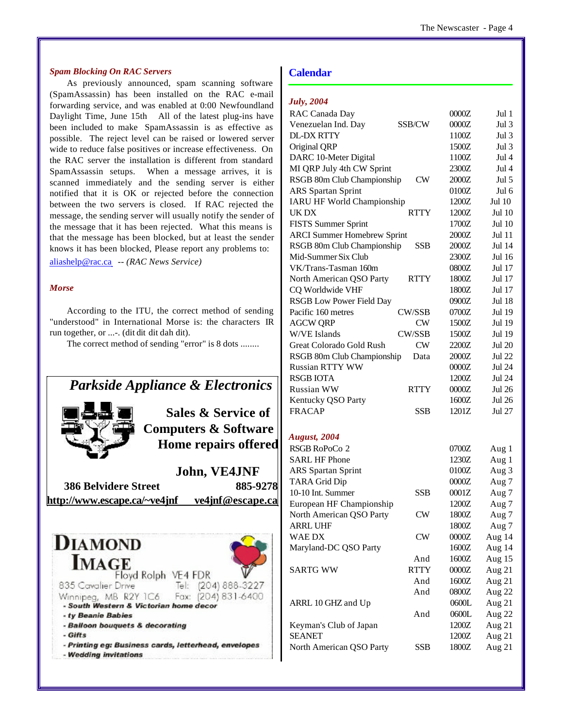#### *Spam Blocking On RAC Servers*

As previously announced, spam scanning software (SpamAssassin) has been installed on the RAC e-mail forwarding service, and was enabled at 0:00 Newfoundland Daylight Time, June 15th All of the latest plug-ins have been included to make SpamAssassin is as effective as possible. The reject level can be raised or lowered server wide to reduce false positives or increase effectiveness. On the RAC server the installation is different from standard SpamAssassin setups. When a message arrives, it is scanned immediately and the sending server is either notified that it is OK or rejected before the connection between the two servers is closed. If RAC rejected the message, the sending server will usually notify the sender of the message that it has been rejected. What this means is that the message has been blocked, but at least the sender knows it has been blocked, Please report any problems to:

aliashelp@rac.ca *-- (RAC News Service)* 

#### *Morse*

According to the ITU, the correct method of sending "understood" in International Morse is: the characters IR run together, or ...-. (dit dit dit dah dit).

The correct method of sending "error" is 8 dots ........

## *Parkside Appliance & Electronics*



## **Sales & Service of Computers & Software Home repairs offered**

**John, VE4JNF 386 Belvidere Street 885-9278 <http://www.escape.ca/~ve4jnf> ve4jnf@escape.ca**



#### **Calendar**

| <b>July</b> , 2004 |  |  |  |  |  |
|--------------------|--|--|--|--|--|
|--------------------|--|--|--|--|--|

| RAC Canada Day                     |               | 0000Z   | Jul 1         |
|------------------------------------|---------------|---------|---------------|
| Venezuelan Ind. Day                | SSB/CW        | 0000Z   | Jul 3         |
| <b>DL-DX RTTY</b>                  |               | 1100Z   | Jul 3         |
| Original QRP                       |               | 1500Z   | Jul 3         |
| DARC 10-Meter Digital              |               | 1100Z   | Jul 4         |
| MI QRP July 4th CW Sprint          |               | 2300Z   | Jul 4         |
| RSGB 80m Club Championship         | CW            | 2000Z   | Jul 5         |
| <b>ARS</b> Spartan Sprint          |               | 0100Z   | Jul 6         |
| <b>IARU HF World Championship</b>  |               | 1200Z   | Jul 10        |
| UK DX                              | <b>RTTY</b>   | 1200Z   | <b>Jul 10</b> |
| <b>FISTS Summer Sprint</b>         |               | 1700Z   | Jul 10        |
| <b>ARCI Summer Homebrew Sprint</b> |               | 2000Z   | Jul 11        |
| RSGB 80m Club Championship         | SSB           | 2000Z   | Jul 14        |
| Mid-Summer Six Club                |               | 2300Z   | Jul 16        |
| VK/Trans-Tasman 160m               |               | 0800Z   | Jul 17        |
| North American QSO Party           | RTTY          | 1800Z   | Jul 17        |
| CQ Worldwide VHF                   |               | 1800Z   | Jul 17        |
| <b>RSGB Low Power Field Day</b>    |               | 0900Z   | <b>Jul 18</b> |
| Pacific 160 metres                 | <b>CW/SSB</b> | 0700Z   | Jul 19        |
| <b>AGCW QRP</b>                    | CW            | 1500Z   | Jul 19        |
| <b>W/VE Islands</b>                | CW/SSB        | 1500Z   | Jul 19        |
| Great Colorado Gold Rush           | <b>CW</b>     | 2200Z   | <b>Jul 20</b> |
| RSGB 80m Club Championship         | Data          | 2000Z   | Jul 22        |
| <b>Russian RTTY WW</b>             |               | 0000Z   | <b>Jul 24</b> |
| <b>RSGB IOTA</b>                   |               | 1200Z   | Jul 24        |
| Russian WW                         | RTTY          | 0000Z   | <b>Jul 26</b> |
| Kentucky QSO Party                 |               | 1600Z   | Jul 26        |
| <b>FRACAP</b>                      | SSB           | 1201Z   | Jul 27        |
| <b>August, 2004</b>                |               |         |               |
| RSGB RoPoCo 2                      |               | 0700Z   | Aug 1         |
| <b>SARL HF Phone</b>               |               | 1230Z   | Aug 1         |
| <b>ARS</b> Spartan Sprint          |               | 0100Z   | Aug 3         |
| <b>TARA Grid Dip</b>               |               | 0000Z   | Aug 7         |
| 10-10 Int. Summer                  | SSB           | 0001Z   | Aug 7         |
| European HF Championship           |               | 1200Z   | Aug 7         |
| North American QSO Party           | <b>CW</b>     | 1800Z   | Aug 7         |
| ARRL UHF                           |               | 1800Z   | Aug 7         |
| WAE DX                             | <b>CW</b>     | $0000Z$ | Aug 14        |
| Maryland-DC QSO Party              |               | 1600Z   | Aug 14        |
|                                    | And           | 1600Z   | Aug 15        |
| <b>SARTG WW</b>                    | <b>RTTY</b>   | 0000Z   | Aug 21        |
|                                    | And           | 1600Z   | Aug 21        |
|                                    | And           | 0800Z   | Aug 22        |
| ARRL 10 GHZ and Up                 |               | 0600L   | Aug 21        |
|                                    | And           | 0600L   | Aug 22        |
| Keyman's Club of Japan             |               | 1200Z   | Aug 21        |
| <b>SEANET</b>                      |               | 1200Z   | Aug 21        |
| North American QSO Party           | SSB           | 1800Z   | Aug 21        |
|                                    |               |         |               |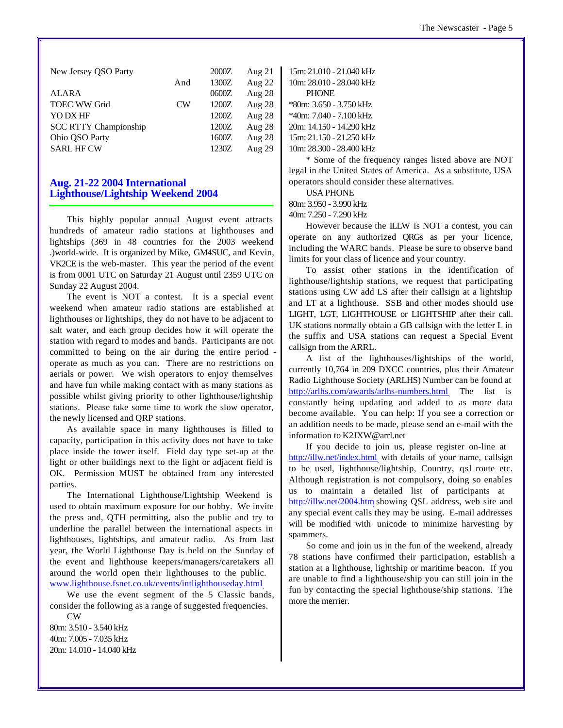|                | 2000Z | Aug $21$ |
|----------------|-------|----------|
| And            | 1300Z | Aug 22   |
|                | 0600Z | Aug 28   |
| CW <sub></sub> | 1200Z | Aug 28   |
|                | 1200Z | Aug 28   |
|                | 1200Z | Aug 28   |
|                | 1600Z | Aug 28   |
|                | 1230Z | Aug 29   |
|                |       |          |

#### **Aug. 21-22 2004 International Lighthouse/Lightship Weekend 2004**

This highly popular annual August event attracts hundreds of amateur radio stations at lighthouses and lightships (369 in 48 countries for the 2003 weekend .)world-wide. It is organized by Mike, GM4SUC, and Kevin, VK2CE is the web-master. This year the period of the event is from 0001 UTC on Saturday 21 August until 2359 UTC on Sunday 22 August 2004.

The event is NOT a contest. It is a special event weekend when amateur radio stations are established at lighthouses or lightships, they do not have to be adjacent to salt water, and each group decides how it will operate the station with regard to modes and bands. Participants are not committed to being on the air during the entire period operate as much as you can. There are no restrictions on aerials or power. We wish operators to enjoy themselves and have fun while making contact with as many stations as possible whilst giving priority to other lighthouse/lightship stations. Please take some time to work the slow operator, the newly licensed and QRP stations.

As available space in many lighthouses is filled to capacity, participation in this activity does not have to take place inside the tower itself. Field day type set-up at the light or other buildings next to the light or adjacent field is OK. Permission MUST be obtained from any interested parties.

The International Lighthouse/Lightship Weekend is used to obtain maximum exposure for our hobby. We invite the press and, QTH permitting, also the public and try to underline the parallel between the international aspects in lighthouses, lightships, and amateur radio. As from last year, the World Lighthouse Day is held on the Sunday of the event and lighthouse keepers/managers/caretakers all around the world open their lighthouses to the public. www.lighthouse.fsnet.co.uk/events/intlighthouseday.html

We use the event segment of the 5 Classic bands, consider the following as a range of suggested frequencies.

CW 80m: 3.510 - 3.540 kHz 40m: 7.005 - 7.035 kHz 20m: 14.010 - 14.040 kHz 15m: 21.010 - 21.040 kHz 10m: 28.010 - 28.040 kHz PHONE \*80m: 3.650 - 3.750 kHz \*40m: 7.040 - 7.100 kHz 20m: 14.150 - 14.290 kHz 15m: 21.150 - 21.250 kHz 10m: 28.300 - 28.400 kHz

\* Some of the frequency ranges listed above are NOT legal in the United States of America. As a substitute, USA operators should consider these alternatives.

USA PHONE

80m: 3.950 - 3.990 kHz

40m: 7.250 - 7.290 kHz

However because the ILLW is NOT a contest, you can operate on any authorized QRGs as per your licence, including the WARC bands. Please be sure to observe band limits for your class of licence and your country.

To assist other stations in the identification of lighthouse/lightship stations, we request that participating stations using CW add LS after their callsign at a lightship and LT at a lighthouse. SSB and other modes should use LIGHT, LGT, LIGHTHOUSE or LIGHTSHIP after their call. UK stations normally obtain a GB callsign with the letter L in the suffix and USA stations can request a Special Event callsign from the ARRL.

A list of the lighthouses/lightships of the world, currently 10,764 in 209 DXCC countries, plus their Amateur Radio Lighthouse Society (ARLHS) Number can be found at <http://arlhs.com/awards/arlhs-numbers.html> The list is constantly being updating and added to as more data become available. You can help: If you see a correction or an addition needs to be made, please send an e-mail with the information to K2JXW@arrl.net

If you decide to join us, please register on-line at <http://illw.net/index.html> with details of your name, callsign to be used, lighthouse/lightship, Country, qsl route etc. Although registration is not compulsory, doing so enables us to maintain a detailed list of participants at <http://illw.net/2004.htm>showing QSL address, web site and any special event calls they may be using. E-mail addresses will be modified with unicode to minimize harvesting by spammers.

So come and join us in the fun of the weekend, already 78 stations have confirmed their participation, establish a station at a lighthouse, lightship or maritime beacon. If you are unable to find a lighthouse/ship you can still join in the fun by contacting the special lighthouse/ship stations. The more the merrier.